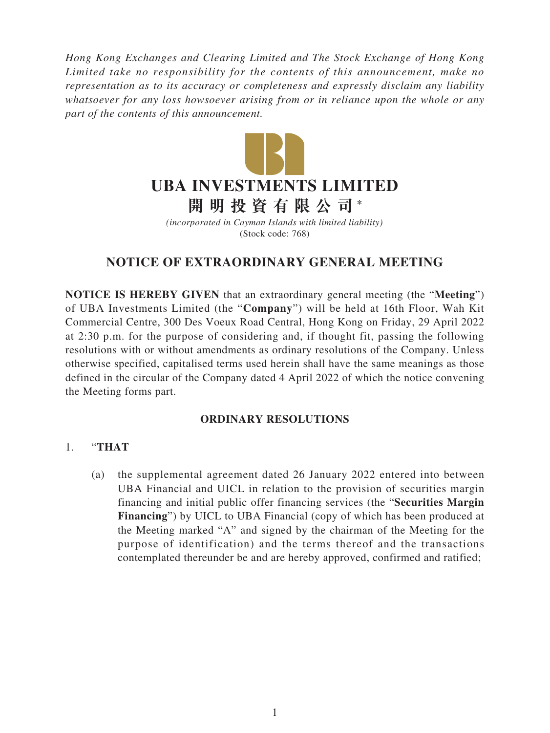*Hong Kong Exchanges and Clearing Limited and The Stock Exchange of Hong Kong Limited take no responsibility for the contents of this announcement, make no representation as to its accuracy or completeness and expressly disclaim any liability whatsoever for any loss howsoever arising from or in reliance upon the whole or any part of the contents of this announcement.*



*(incorporated in Cayman Islands with limited liability)* (Stock code: 768)

## **NOTICE OF EXTRAORDINARY GENERAL MEETING**

**NOTICE IS HEREBY GIVEN** that an extraordinary general meeting (the "**Meeting**") of UBA Investments Limited (the "**Company**") will be held at 16th Floor, Wah Kit Commercial Centre, 300 Des Voeux Road Central, Hong Kong on Friday, 29 April 2022 at 2:30 p.m. for the purpose of considering and, if thought fit, passing the following resolutions with or without amendments as ordinary resolutions of the Company. Unless otherwise specified, capitalised terms used herein shall have the same meanings as those defined in the circular of the Company dated 4 April 2022 of which the notice convening the Meeting forms part.

## **ORDINARY RESOLUTIONS**

## 1. "**THAT**

(a) the supplemental agreement dated 26 January 2022 entered into between UBA Financial and UICL in relation to the provision of securities margin financing and initial public offer financing services (the "**Securities Margin Financing**") by UICL to UBA Financial (copy of which has been produced at the Meeting marked "A" and signed by the chairman of the Meeting for the purpose of identification) and the terms thereof and the transactions contemplated thereunder be and are hereby approved, confirmed and ratified;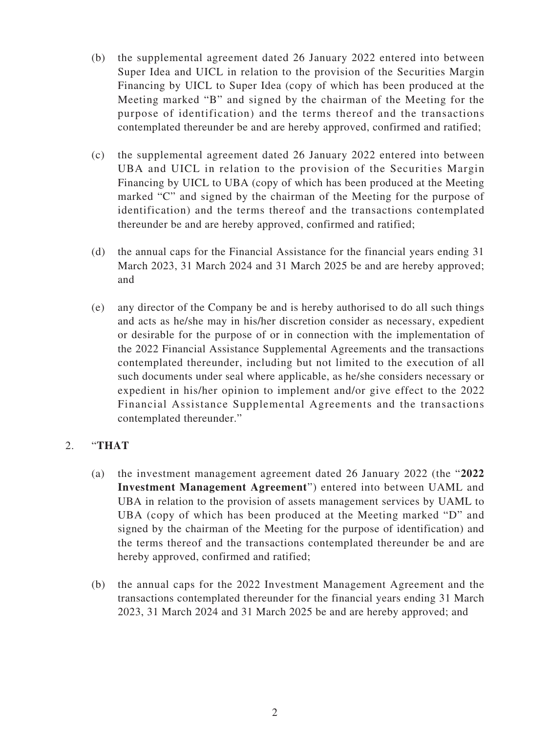- (b) the supplemental agreement dated 26 January 2022 entered into between Super Idea and UICL in relation to the provision of the Securities Margin Financing by UICL to Super Idea (copy of which has been produced at the Meeting marked "B" and signed by the chairman of the Meeting for the purpose of identification) and the terms thereof and the transactions contemplated thereunder be and are hereby approved, confirmed and ratified;
- (c) the supplemental agreement dated 26 January 2022 entered into between UBA and UICL in relation to the provision of the Securities Margin Financing by UICL to UBA (copy of which has been produced at the Meeting marked "C" and signed by the chairman of the Meeting for the purpose of identification) and the terms thereof and the transactions contemplated thereunder be and are hereby approved, confirmed and ratified;
- (d) the annual caps for the Financial Assistance for the financial years ending 31 March 2023, 31 March 2024 and 31 March 2025 be and are hereby approved; and
- (e) any director of the Company be and is hereby authorised to do all such things and acts as he/she may in his/her discretion consider as necessary, expedient or desirable for the purpose of or in connection with the implementation of the 2022 Financial Assistance Supplemental Agreements and the transactions contemplated thereunder, including but not limited to the execution of all such documents under seal where applicable, as he/she considers necessary or expedient in his/her opinion to implement and/or give effect to the 2022 Financial Assistance Supplemental Agreements and the transactions contemplated thereunder."

## 2. "**THAT**

- (a) the investment management agreement dated 26 January 2022 (the "**2022 Investment Management Agreement**") entered into between UAML and UBA in relation to the provision of assets management services by UAML to UBA (copy of which has been produced at the Meeting marked "D" and signed by the chairman of the Meeting for the purpose of identification) and the terms thereof and the transactions contemplated thereunder be and are hereby approved, confirmed and ratified;
- (b) the annual caps for the 2022 Investment Management Agreement and the transactions contemplated thereunder for the financial years ending 31 March 2023, 31 March 2024 and 31 March 2025 be and are hereby approved; and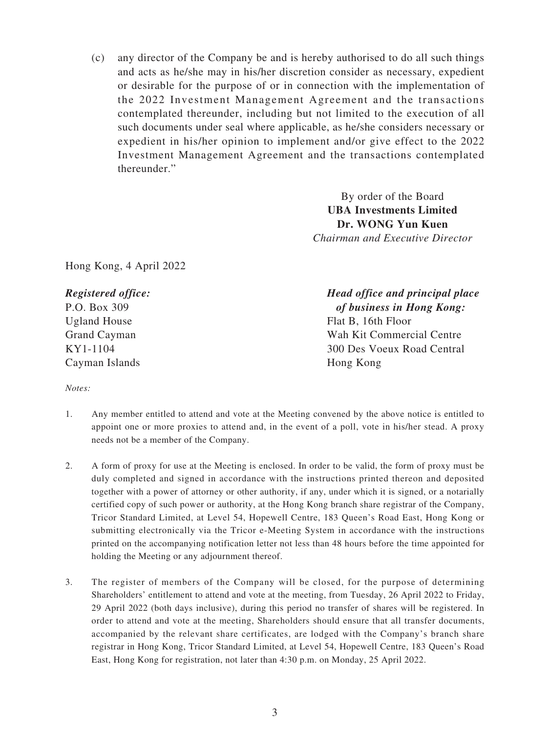(c) any director of the Company be and is hereby authorised to do all such things and acts as he/she may in his/her discretion consider as necessary, expedient or desirable for the purpose of or in connection with the implementation of the 2022 Investment Management Agreement and the transactions contemplated thereunder, including but not limited to the execution of all such documents under seal where applicable, as he/she considers necessary or expedient in his/her opinion to implement and/or give effect to the 2022 Investment Management Agreement and the transactions contemplated thereunder."

> By order of the Board **UBA Investments Limited Dr. WONG Yun Kuen** *Chairman and Executive Director*

Hong Kong, 4 April 2022

*Registered office:* P.O. Box 309 Ugland House Grand Cayman KY1-1104 Cayman Islands

*Head office and principal place of business in Hong Kong:* Flat B, 16th Floor Wah Kit Commercial Centre 300 Des Voeux Road Central Hong Kong

*Notes:*

- 1. Any member entitled to attend and vote at the Meeting convened by the above notice is entitled to appoint one or more proxies to attend and, in the event of a poll, vote in his/her stead. A proxy needs not be a member of the Company.
- 2. A form of proxy for use at the Meeting is enclosed. In order to be valid, the form of proxy must be duly completed and signed in accordance with the instructions printed thereon and deposited together with a power of attorney or other authority, if any, under which it is signed, or a notarially certified copy of such power or authority, at the Hong Kong branch share registrar of the Company, Tricor Standard Limited, at Level 54, Hopewell Centre, 183 Queen's Road East, Hong Kong or submitting electronically via the Tricor e-Meeting System in accordance with the instructions printed on the accompanying notification letter not less than 48 hours before the time appointed for holding the Meeting or any adjournment thereof.
- 3. The register of members of the Company will be closed, for the purpose of determining Shareholders' entitlement to attend and vote at the meeting, from Tuesday, 26 April 2022 to Friday, 29 April 2022 (both days inclusive), during this period no transfer of shares will be registered. In order to attend and vote at the meeting, Shareholders should ensure that all transfer documents, accompanied by the relevant share certificates, are lodged with the Company's branch share registrar in Hong Kong, Tricor Standard Limited, at Level 54, Hopewell Centre, 183 Queen's Road East, Hong Kong for registration, not later than 4:30 p.m. on Monday, 25 April 2022.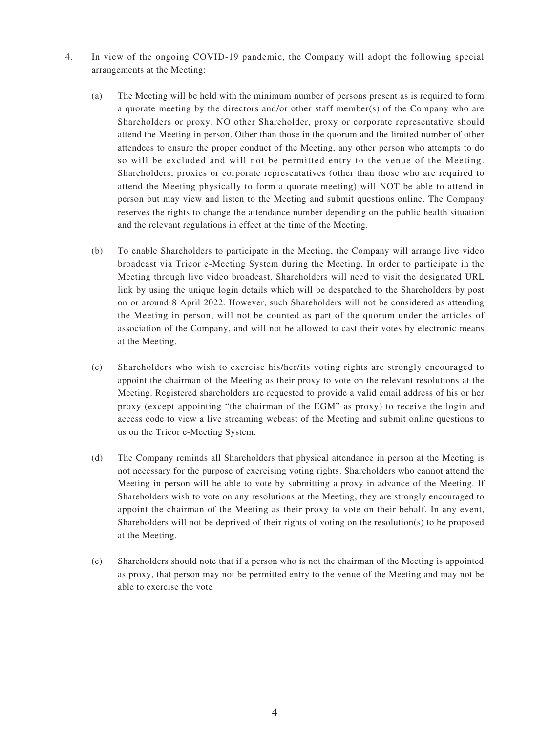- 4. In view of the ongoing COVID-19 pandemic, the Company will adopt the following special arrangements at the Meeting:
	- (a) The Meeting will be held with the minimum number of persons present as is required to form a quorate meeting by the directors and/or other staff member(s) of the Company who are Shareholders or proxy. NO other Shareholder, proxy or corporate representative should attend the Meeting in person. Other than those in the quorum and the limited number of other attendees to ensure the proper conduct of the Meeting, any other person who attempts to do so will be excluded and will not be permitted entry to the venue of the Meeting. Shareholders, proxies or corporate representatives (other than those who are required to attend the Meeting physically to form a quorate meeting) will NOT be able to attend in person but may view and listen to the Meeting and submit questions online. The Company reserves the rights to change the attendance number depending on the public health situation and the relevant regulations in effect at the time of the Meeting.
	- (b) To enable Shareholders to participate in the Meeting, the Company will arrange live video broadcast via Tricor e-Meeting System during the Meeting. In order to participate in the Meeting through live video broadcast, Shareholders will need to visit the designated URL link by using the unique login details which will be despatched to the Shareholders by post on or around 8 April 2022. However, such Shareholders will not be considered as attending the Meeting in person, will not be counted as part of the quorum under the articles of association of the Company, and will not be allowed to cast their votes by electronic means at the Meeting.
	- (c) Shareholders who wish to exercise his/her/its voting rights are strongly encouraged to appoint the chairman of the Meeting as their proxy to vote on the relevant resolutions at the Meeting. Registered shareholders are requested to provide a valid email address of his or her proxy (except appointing "the chairman of the EGM" as proxy) to receive the login and access code to view a live streaming webcast of the Meeting and submit online questions to us on the Tricor e-Meeting System.
	- (d) The Company reminds all Shareholders that physical attendance in person at the Meeting is not necessary for the purpose of exercising voting rights. Shareholders who cannot attend the Meeting in person will be able to vote by submitting a proxy in advance of the Meeting. If Shareholders wish to vote on any resolutions at the Meeting, they are strongly encouraged to appoint the chairman of the Meeting as their proxy to vote on their behalf. In any event, Shareholders will not be deprived of their rights of voting on the resolution(s) to be proposed at the Meeting.
	- (e) Shareholders should note that if a person who is not the chairman of the Meeting is appointed as proxy, that person may not be permitted entry to the venue of the Meeting and may not be able to exercise the vote